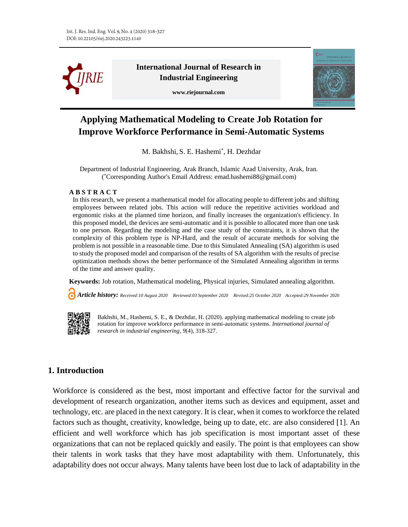

**International Journal of Research in Industrial Engineering**

**www.riejournal.com**



# **Applying Mathematical Modeling to Create Job Rotation for Improve Workforce Performance in Semi-Automatic Systems**

M. Bakhshi, S. E. Hashemi\* , H. Dezhdar

Department of Industrial Engineering, Arak Branch, Islamic Azad University, Arak, Iran. ( \*Corresponding Author's Email Address: emad.hashemi88@gmail.com)

#### **A B S T R A C T**

In this research, we present a mathematical model for allocating people to different jobs and shifting employees between related jobs. This action will reduce the repetitive activities workload and ergonomic risks at the planned time horizon, and finally increases the organization's efficiency. In this proposed model, the devices are semi-automatic and it is possible to allocated more than one task to one person. Regarding the modeling and the case study of the constraints, it is shown that the complexity of this problem type is NP-Hard, and the result of accurate methods for solving the problem is not possible in a reasonable time. Due to this Simulated Annealing (SA) algorithm is used to study the proposed model and comparison of the results of SA algorithm with the results of precise optimization methods shows the better performance of the Simulated Annealing algorithm in terms of the time and answer quality.

**Keywords:** Job rotation, Mathematical modeling, Physical injuries, Simulated annealing algorithm.

 *Article history: Received:10 August 2020 Reviewed:03 September 2020 Revised:25 October 2020 Accepted:29 November* <sup>2020</sup>



Bakhshi, M., Hashemi, S. E., & Dezhdar, H. (2020). applying mathematical modeling to create job rotation for improve workforce performance in semi-automatic systems. *International journal of research in industrial engineering, 9*(4), 318-327.

# **1. Introduction**

Workforce is considered as the best, most important and effective factor for the survival and development of research organization, another items such as devices and equipment, asset and technology, etc. are placed in the next category. It is clear, when it comes to workforce the related factors such as thought, creativity, knowledge, being up to date, etc. are also considered [1]. An efficient and well workforce which has job specification is most important asset of these organizations that can not be replaced quickly and easily. The point is that employees can show their talents in work tasks that they have most adaptability with them. Unfortunately, this adaptability does not occur always. Many talents have been lost due to lack of adaptability in the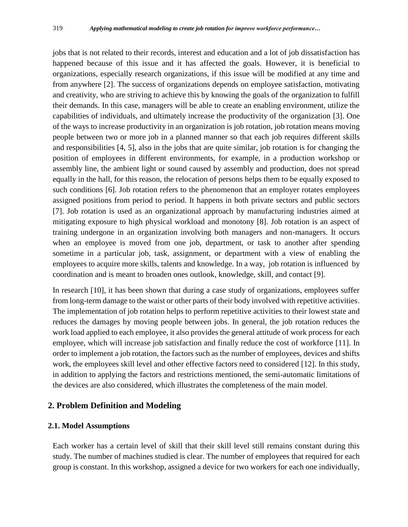jobs that is not related to their records, interest and education and a lot of job dissatisfaction has happened because of this issue and it has affected the goals. However, it is beneficial to organizations, especially research organizations, if this issue will be modified at any time and from anywhere [2]. The success of organizations depends on employee satisfaction, motivating and creativity, who are striving to achieve this by knowing the goals of the organization to fulfill their demands. In this case, managers will be able to create an enabling environment, utilize the capabilities of individuals, and ultimately increase the productivity of the organization [3]. One of the ways to increase productivity in an organization is job rotation, job rotation means moving people between two or more job in a planned manner so that each job requires different skills and responsibilities [4, 5], also in the jobs that are quite similar, job rotation is for changing the position of employees in different environments, for example, in a production workshop or assembly line, the ambient light or sound caused by assembly and production, does not spread equally in the hall, for this reason, the relocation of persons helps them to be equally exposed to such conditions [6]. Job rotation refers to the phenomenon that an employer rotates employees assigned positions from period to period. It happens in both private sectors and public sectors [7]. Job rotation is used as an organizational approach by manufacturing industries aimed at mitigating exposure to high physical workload and monotony [8]. Job rotation is an aspect of training undergone in an organization involving both managers and non-managers. It occurs when an employee is moved from one job, department, or task to another after spending sometime in a particular job, task, assignment, or department with a view of enabling the employees to acquire more skills, talents and knowledge. In a way, job rotation is influenced by coordination and is meant to broaden ones outlook, knowledge, skill, and contact [9].

In research [10], it has been shown that during a case study of organizations, employees suffer from long-term damage to the waist or other parts of their body involved with repetitive activities. The implementation of job rotation helps to perform repetitive activities to their lowest state and reduces the damages by moving people between jobs. In general, the job rotation reduces the work load applied to each employee, it also provides the general attitude of work process for each employee, which will increase job satisfaction and finally reduce the cost of workforce [11]. In order to implement a job rotation, the factors such as the number of employees, devices and shifts work, the employees skill level and other effective factors need to considered [12]. In this study, in addition to applying the factors and restrictions mentioned, the semi-automatic limitations of the devices are also considered, which illustrates the completeness of the main model.

# **2. Problem Definition and Modeling**

## **2.1. Model Assumptions**

Each worker has a certain level of skill that their skill level still remains constant during this study. The number of machines studied is clear. The number of employees that required for each group is constant. In this workshop, assigned a device for two workers for each one individually,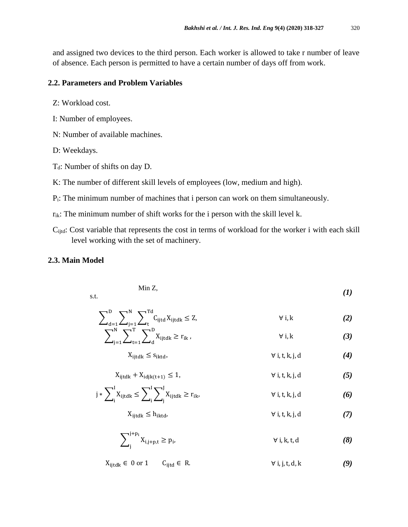and assigned two devices to the third person. Each worker is allowed to take r number of leave of absence. Each person is permitted to have a certain number of days off from work.

#### **2.2. Parameters and Problem Variables**

- Z: Workload cost.
- I: Number of employees.
- N: Number of available machines.
- D: Weekdays.
- $T_d$ : Number of shifts on day D.
- K: The number of different skill levels of employees (low, medium and high).
- Pi: The minimum number of machines that i person can work on them simultaneously.
- $r_{ik}$ : The minimum number of shift works for the i person with the skill level k.
- Cijtd: Cost variable that represents the cost in terms of workload for the worker i with each skill level working with the set of machinery.

#### **2.3. Main Model**

$$
\text{Min } Z, \tag{1}
$$

s.t.

$$
\sum_{d=1}^{D} \sum_{j=1}^{N} \sum_{t=1}^{Td} C_{ijtd} X_{ijtdk} \le Z, \qquad \forall i, k
$$
 (2)

$$
\sum_{j=1}^{N} \sum_{t=1}^{T} \sum_{d}^{D} X_{ijtdk} \ge r_{ik}, \qquad \forall i,k \tag{3}
$$

$$
X_{ijtdk} \leq s_{iktd}, \qquad \qquad \forall i, t, k, j, d \qquad (4)
$$

$$
X_{ijtdk} + X_{idjk(t+1)} \le 1, \qquad \forall i, t, k, j, d \tag{5}
$$

$$
j * \sum_{i}^{I} X_{ijtdk} \leq \sum_{i}^{I} \sum_{j}^{J} X_{ijtdk} \geq r_{ik}, \qquad \forall i, t, k, j, d
$$
 (6)

 $X_{\text{it}} \leq h_{\text{iktd}}$ ,  $\forall i, t, k, j, d$  *(7)* 

$$
\sum_{j}^{j+p_i} X_{i,j+p,t} \ge p_i, \qquad \forall i,k,t,d \qquad (8)
$$

 $X_{ijtdk}$  ∈ 0 or 1  $C_{ijtd}$  ∈ R.  $\forall i, j, t, d, k$  *(9)*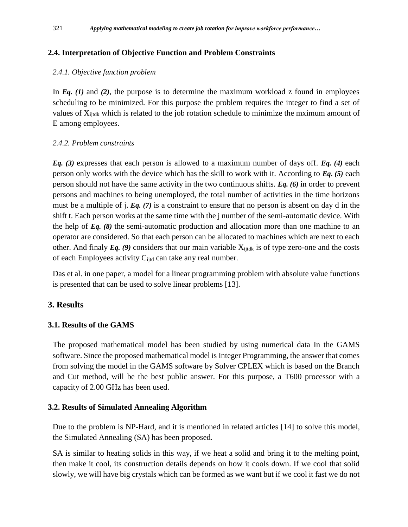## **2.4. Interpretation of Objective Function and Problem Constraints**

## *2.4.1. Objective function problem*

In *Eq. (1)* and *(2)*, the purpose is to determine the maximum workload z found in employees scheduling to be minimized. For this purpose the problem requires the integer to find a set of values of X<sub>ijtdk</sub> which is related to the job rotation schedule to minimize the mximum amount of E among employees.

#### *2.4.2. Problem constraints*

*Eq. (3)* expresses that each person is allowed to a maximum number of days off. *Eq. (4)* each person only works with the device which has the skill to work with it. According to *Eq. (5)* each person should not have the same activity in the two continuous shifts. *Eq. (6)* in order to prevent persons and machines to being unemployed, the total number of activities in the time horizons must be a multiple of j. *Eq. (7)* is a constraint to ensure that no person is absent on day d in the shift t. Each person works at the same time with the j number of the semi-automatic device. With the help of *Eq. (8)* the semi-automatic production and allocation more than one machine to an operator are considered. So that each person can be allocated to machines which are next to each other. And finaly  $Eq. (9)$  considers that our main variable  $X_{ijkl}$  is of type zero-one and the costs of each Employees activity C<sub>ijtd</sub> can take any real number.

Das et al. in one paper, a model for a linear programming problem with absolute value functions is presented that can be used to solve linear problems [13].

## **3. Results**

## **3.1. Results of the GAMS**

The proposed mathematical model has been studied by using numerical data In the GAMS software. Since the proposed mathematical model is Integer Programming, the answer that comes from solving the model in the GAMS software by Solver CPLEX which is based on the Branch and Cut method, will be the best public answer. For this purpose, a T600 processor with a capacity of 2.00 GHz has been used.

## **3.2. Results of Simulated Annealing Algorithm**

Due to the problem is NP-Hard, and it is mentioned in related articles [14] to solve this model, the Simulated Annealing (SA) has been proposed.

SA is similar to heating solids in this way, if we heat a solid and bring it to the melting point, then make it cool, its construction details depends on how it cools down. If we cool that solid slowly, we will have big crystals which can be formed as we want but if we cool it fast we do not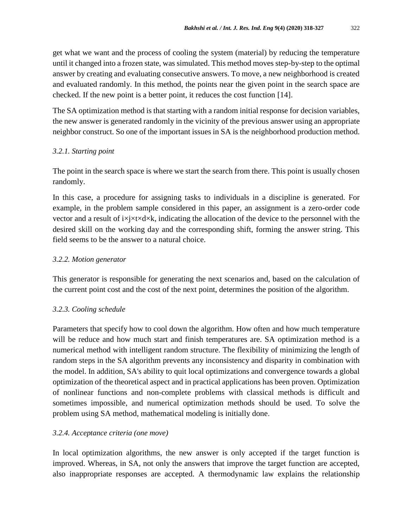get what we want and the process of cooling the system (material) by reducing the temperature until it changed into a frozen state, was simulated. This method moves step-by-step to the optimal answer by creating and evaluating consecutive answers. To move, a new neighborhood is created and evaluated randomly. In this method, the points near the given point in the search space are checked. If the new point is a better point, it reduces the cost function [14].

The SA optimization method is that starting with a random initial response for decision variables, the new answer is generated randomly in the vicinity of the previous answer using an appropriate neighbor construct. So one of the important issues in SA is the neighborhood production method.

## *3.2.1. Starting point*

The point in the search space is where we start the search from there. This point is usually chosen randomly.

In this case, a procedure for assigning tasks to individuals in a discipline is generated. For example, in the problem sample considered in this paper, an assignment is a zero-order code vector and a result of  $i \times j \times t \times d \times k$ , indicating the allocation of the device to the personnel with the desired skill on the working day and the corresponding shift, forming the answer string. This field seems to be the answer to a natural choice.

# *3.2.2. Motion generator*

This generator is responsible for generating the next scenarios and, based on the calculation of the current point cost and the cost of the next point, determines the position of the algorithm.

# *3.2.3. Cooling schedule*

Parameters that specify how to cool down the algorithm. How often and how much temperature will be reduce and how much start and finish temperatures are. SA optimization method is a numerical method with intelligent random structure. The flexibility of minimizing the length of random steps in the SA algorithm prevents any inconsistency and disparity in combination with the model. In addition, SA's ability to quit local optimizations and convergence towards a global optimization of the theoretical aspect and in practical applications has been proven. Optimization of nonlinear functions and non-complete problems with classical methods is difficult and sometimes impossible, and numerical optimization methods should be used. To solve the problem using SA method, mathematical modeling is initially done.

## *3.2.4. Acceptance criteria (one move)*

In local optimization algorithms, the new answer is only accepted if the target function is improved. Whereas, in SA, not only the answers that improve the target function are accepted, also inappropriate responses are accepted. A thermodynamic law explains the relationship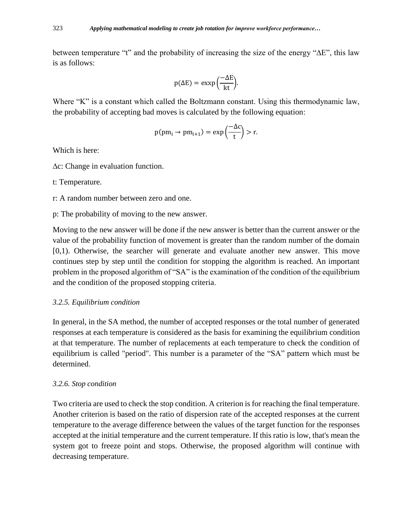between temperature "t" and the probability of increasing the size of the energy "∆E", this law is as follows:

$$
p(\Delta E) = \exp\left(\frac{-\Delta E}{kt}\right).
$$

Where "K" is a constant which called the Boltzmann constant. Using this thermodynamic law, the probability of accepting bad moves is calculated by the following equation:

$$
p(pm_i \to pm_{i+1}) = \exp\left(\frac{-\Delta c}{t}\right) > r.
$$

Which is here:

∆c: Change in evaluation function.

t: Temperature.

- r: A random number between zero and one.
- p: The probability of moving to the new answer.

Moving to the new answer will be done if the new answer is better than the current answer or the value of the probability function of movement is greater than the random number of the domain [0,1). Otherwise, the searcher will generate and evaluate another new answer. This move continues step by step until the condition for stopping the algorithm is reached. An important problem in the proposed algorithm of "SA" is the examination of the condition of the equilibrium and the condition of the proposed stopping criteria.

#### *3.2.5. Equilibrium condition*

In general, in the SA method, the number of accepted responses or the total number of generated responses at each temperature is considered as the basis for examining the equilibrium condition at that temperature. The number of replacements at each temperature to check the condition of equilibrium is called "period". This number is a parameter of the "SA" pattern which must be determined.

#### *3.2.6. Stop condition*

Two criteria are used to check the stop condition. A criterion is for reaching the final temperature. Another criterion is based on the ratio of dispersion rate of the accepted responses at the current temperature to the average difference between the values of the target function for the responses accepted at the initial temperature and the current temperature. If this ratio is low, that's mean the system got to freeze point and stops. Otherwise, the proposed algorithm will continue with decreasing temperature.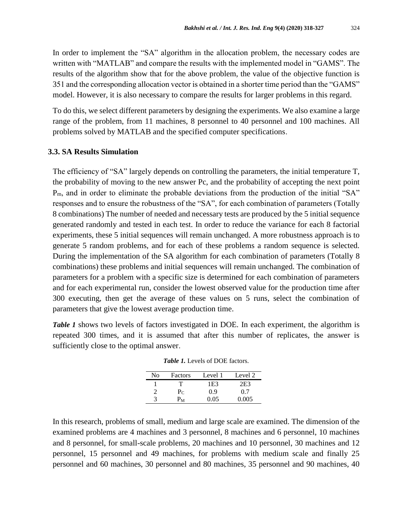In order to implement the "SA" algorithm in the allocation problem, the necessary codes are written with "MATLAB" and compare the results with the implemented model in "GAMS". The results of the algorithm show that for the above problem, the value of the objective function is 351 and the corresponding allocation vector is obtained in a shorter time period than the "GAMS" model. However, it is also necessary to compare the results for larger problems in this regard.

To do this, we select different parameters by designing the experiments. We also examine a large range of the problem, from 11 machines, 8 personnel to 40 personnel and 100 machines. All problems solved by MATLAB and the specified computer specifications.

#### **3.3. SA Results Simulation**

The efficiency of "SA" largely depends on controlling the parameters, the initial temperature T, the probability of moving to the new answer Pc, and the probability of accepting the next point P<sub>m</sub>, and in order to eliminate the probable deviations from the production of the initial "SA" responses and to ensure the robustness of the "SA", for each combination of parameters (Totally 8 combinations) The number of needed and necessary tests are produced by the 5 initial sequence generated randomly and tested in each test. In order to reduce the variance for each 8 factorial experiments, these 5 initial sequences will remain unchanged. A more robustness approach is to generate 5 random problems, and for each of these problems a random sequence is selected. During the implementation of the SA algorithm for each combination of parameters (Totally 8 combinations) these problems and initial sequences will remain unchanged. The combination of parameters for a problem with a specific size is determined for each combination of parameters and for each experimental run, consider the lowest observed value for the production time after 300 executing, then get the average of these values on 5 runs, select the combination of parameters that give the lowest average production time.

*Table 1* shows two levels of factors investigated in DOE. In each experiment, the algorithm is repeated 300 times, and it is assumed that after this number of replicates, the answer is sufficiently close to the optimal answer.

| No | Factors                   | Level 1 | Level 2         |
|----|---------------------------|---------|-----------------|
|    |                           | 1E3     | 2E <sub>3</sub> |
|    | $P_C$                     | 0.9     | 0.7             |
| 3  | $\mathbf{v}_{\mathbf{M}}$ | 0.05    | 0.005           |

*Table 1.* Levels of DOE factors.

In this research, problems of small, medium and large scale are examined. The dimension of the examined problems are 4 machines and 3 personnel, 8 machines and 6 personnel, 10 machines and 8 personnel, for small-scale problems, 20 machines and 10 personnel, 30 machines and 12 personnel, 15 personnel and 49 machines, for problems with medium scale and finally 25 personnel and 60 machines, 30 personnel and 80 machines, 35 personnel and 90 machines, 40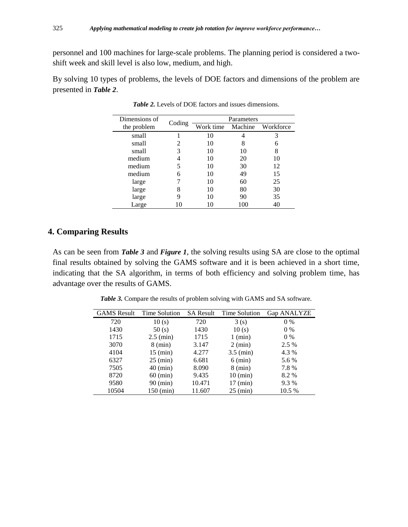personnel and 100 machines for large-scale problems. The planning period is considered a twoshift week and skill level is also low, medium, and high.

By solving 10 types of problems, the levels of DOE factors and dimensions of the problem are presented in *Table 2*.

| Dimensions of | Coding | Parameters |         |           |
|---------------|--------|------------|---------|-----------|
| the problem   |        | Work time  | Machine | Workforce |
| small         |        | 10         |         | 3         |
| small         |        | 10         | 8       | 6         |
| small         | 3      | 10         | 10      | 8         |
| medium        |        | 10         | 20      | 10        |
| medium        |        | 10         | 30      | 12        |
| medium        | 6      | 10         | 49      | 15        |
| large         |        | 10         | 60      | 25        |
| large         | 8      | 10         | 80      | 30        |
| large         | 9      | 10         | 90      | 35        |
| Large         |        | 10         | 100     | 40        |

*Table 2.* Levels of DOE factors and issues dimensions.

# **4. Comparing Results**

As can be seen from *Table 3* and *Figure 1*, the solving results using SA are close to the optimal final results obtained by solving the GAMS software and it is been achieved in a short time, indicating that the SA algorithm, in terms of both efficiency and solving problem time, has advantage over the results of GAMS.

| <b>GAMS</b> Result | Time Solution       |        | SA Result Time Solution | Gap ANALYZE |
|--------------------|---------------------|--------|-------------------------|-------------|
| 720                | 10(s)               | 720    | 3(s)                    | $0\%$       |
| 1430               | 50(s)               | 1430   | 10(s)                   | $0\%$       |
| 1715               | $2.5 \text{ (min)}$ | 1715   | $1$ (min)               | $0\%$       |
| 3070               | $8 \text{ (min)}$   | 3.147  | $2 \text{ (min)}$       | 2.5 %       |
| 4104               | $15 \text{ (min)}$  | 4.277  | $3.5 \text{ (min)}$     | 4.3 %       |
| 6327               | $25 \text{ (min)}$  | 6.681  | $6 \text{ (min)}$       | 5.6 %       |
| 7505               | $40$ (min)          | 8.090  | $8 \text{ (min)}$       | 7.8 %       |
| 8720               | $60 \text{ (min)}$  | 9.435  | $10 \text{ (min)}$      | 8.2 %       |
| 9580               | 90 (min)            | 10.471 | $17 \text{ (min)}$      | 9.3 %       |
| 10504              | 150 (min)           | 11.607 | $25 \text{ (min)}$      | 10.5 %      |

*Table 3.* Compare the results of problem solving with GAMS and SA software.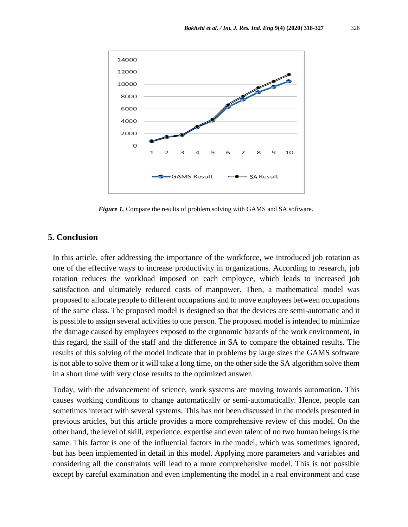

*Figure 1.* Compare the results of problem solving with GAMS and SA software.

#### **5. Conclusion**

In this article, after addressing the importance of the workforce, we introduced job rotation as one of the effective ways to increase productivity in organizations. According to research, job rotation reduces the workload imposed on each employee, which leads to increased job satisfaction and ultimately reduced costs of manpower. Then, a mathematical model was proposed to allocate people to different occupations and to move employees between occupations of the same class. The proposed model is designed so that the devices are semi-automatic and it is possible to assign several activities to one person. The proposed model is intended to minimize the damage caused by employees exposed to the ergonomic hazards of the work environment, in this regard, the skill of the staff and the difference in SA to compare the obtained results. The results of this solving of the model indicate that in problems by large sizes the GAMS software is not able to solve them or it will take a long time, on the other side the SA algorithm solve them in a short time with very close results to the optimized answer.

Today, with the advancement of science, work systems are moving towards automation. This causes working conditions to change automatically or semi-automatically. Hence, people can sometimes interact with several systems. This has not been discussed in the models presented in previous articles, but this article provides a more comprehensive review of this model. On the other hand, the level of skill, experience, expertise and even talent of no two human beings is the same. This factor is one of the influential factors in the model, which was sometimes ignored, but has been implemented in detail in this model. Applying more parameters and variables and considering all the constraints will lead to a more comprehensive model. This is not possible except by careful examination and even implementing the model in a real environment and case